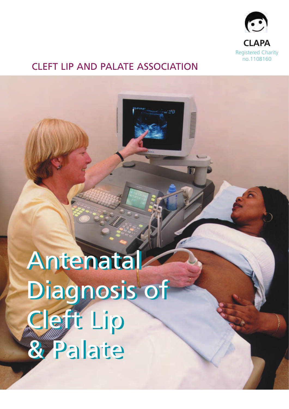

**MUNIMININININ** 

## CLEFT LIP AND PALATE ASSOCIATION

Antenatal Antenatal Diagnosis of Diagnosis of Cleft Lip Cleft Lip & Palate & Palate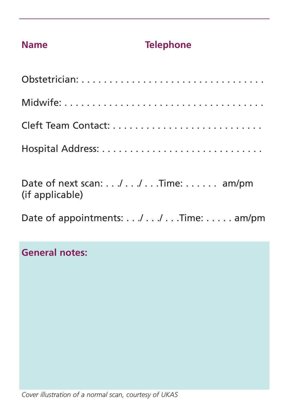## **Name Telephone**

| Date of next scan:// Time: am/pm<br>(if applicable) |  |
|-----------------------------------------------------|--|

Date of appointments: . . ./ . . ./ . . . Time: . . . . . am/pm

**General notes:**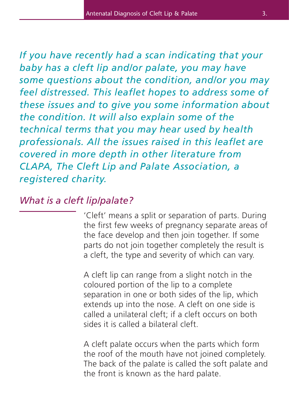*If you have recently had a scan indicating that your baby has a cleft lip and/or palate, you may have some questions about the condition, and/or you may feel distressed. This leaflet hopes to address some of these issues and to give you some information about the condition. It will also explain some of the technical terms that you may hear used by health professionals. All the issues raised in this leaflet are covered in more depth in other literature from CLAPA, The Cleft Lip and Palate Association, a registered charity.*

## *What is a cleft lip/palate?*

'Cleft' means a split or separation of parts. During the first few weeks of pregnancy separate areas of the face develop and then join together. If some parts do not join together completely the result is a cleft, the type and severity of which can vary.

A cleft lip can range from a slight notch in the coloured portion of the lip to a complete separation in one or both sides of the lip, which extends up into the nose. A cleft on one side is called a unilateral cleft; if a cleft occurs on both sides it is called a bilateral cleft.

A cleft palate occurs when the parts which form the roof of the mouth have not joined completely. The back of the palate is called the soft palate and the front is known as the hard palate.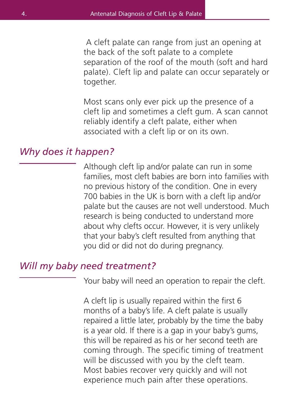A cleft palate can range from just an opening at the back of the soft palate to a complete separation of the roof of the mouth (soft and hard palate). Cleft lip and palate can occur separately or together.

Most scans only ever pick up the presence of a cleft lip and sometimes a cleft gum. A scan cannot reliably identify a cleft palate, either when associated with a cleft lip or on its own.

#### *Why does it happen?*

Although cleft lip and/or palate can run in some families, most cleft babies are born into families with no previous history of the condition. One in every 700 babies in the UK is born with a cleft lip and/or palate but the causes are not well understood. Much research is being conducted to understand more about why clefts occur. However, it is very unlikely that your baby's cleft resulted from anything that you did or did not do during pregnancy.

### *Will my baby need treatment?*

Your baby will need an operation to repair the cleft.

A cleft lip is usually repaired within the first 6 months of a baby's life. A cleft palate is usually repaired a little later, probably by the time the baby is a year old. If there is a gap in your baby's gums, this will be repaired as his or her second teeth are coming through. The specific timing of treatment will be discussed with you by the cleft team. Most babies recover very quickly and will not experience much pain after these operations.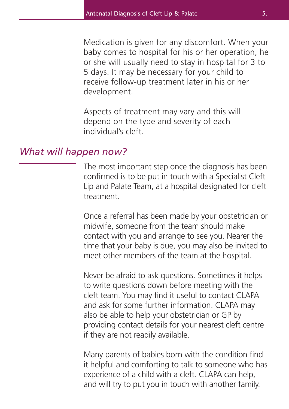Medication is given for any discomfort. When your baby comes to hospital for his or her operation, he or she will usually need to stay in hospital for 3 to 5 days. It may be necessary for your child to receive follow-up treatment later in his or her development.

Aspects of treatment may vary and this will depend on the type and severity of each individual's cleft.

#### *What will happen now?*

The most important step once the diagnosis has been confirmed is to be put in touch with a Specialist Cleft Lip and Palate Team, at a hospital designated for cleft treatment.

Once a referral has been made by your obstetrician or midwife, someone from the team should make contact with you and arrange to see you. Nearer the time that your baby is due, you may also be invited to meet other members of the team at the hospital.

Never be afraid to ask questions. Sometimes it helps to write questions down before meeting with the cleft team. You may find it useful to contact CLAPA and ask for some further information. CLAPA may also be able to help your obstetrician or GP by providing contact details for your nearest cleft centre if they are not readily available.

Many parents of babies born with the condition find it helpful and comforting to talk to someone who has experience of a child with a cleft. CLAPA can help, and will try to put you in touch with another family.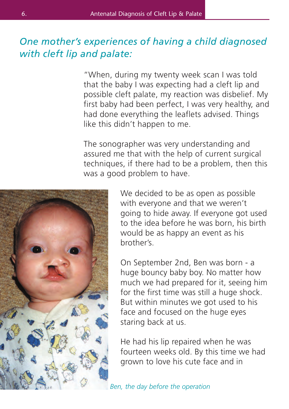## *One mother's experiences of having a child diagnosed with cleft lip and palate:*

"When, during my twenty week scan I was told that the baby I was expecting had a cleft lip and possible cleft palate, my reaction was disbelief. My first baby had been perfect, I was very healthy, and had done everything the leaflets advised. Things like this didn't happen to me.

The sonographer was very understanding and assured me that with the help of current surgical techniques, if there had to be a problem, then this was a good problem to have.



We decided to be as open as possible with everyone and that we weren't going to hide away. If everyone got used to the idea before he was born, his birth would be as happy an event as his brother's.

On September 2nd, Ben was born - a huge bouncy baby boy. No matter how much we had prepared for it, seeing him for the first time was still a huge shock. But within minutes we got used to his face and focused on the huge eyes staring back at us.

He had his lip repaired when he was fourteen weeks old. By this time we had grown to love his cute face and in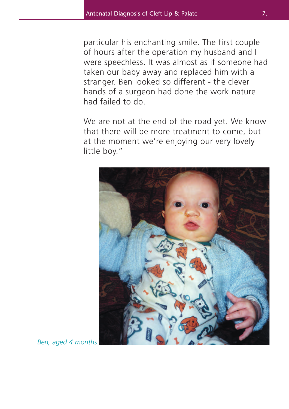particular his enchanting smile. The first couple of hours after the operation my husband and I were speechless. It was almost as if someone had taken our baby away and replaced him with a stranger. Ben looked so different - the clever hands of a surgeon had done the work nature had failed to do.

We are not at the end of the road yet. We know that there will be more treatment to come, but at the moment we're enjoying our very lovely little boy."



*Ben, aged 4 months*